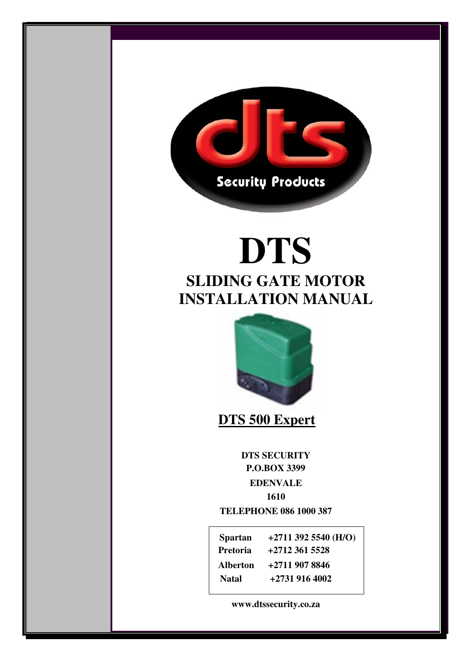

# **DTS SLIDING GATE MOTOR INSTALLATION MANUAL**



 **DTS 500 Expert** 

 $\frac{1610}{1610}$ **DTS SECURITY P.O.BOX 3399 EDENVALE 1610** 

**TELEPHONE 086 1000 387** 

|       | Spartan $+27113925540 \,(H/O)$<br>Pretoria +2712 361 5528 |
|-------|-----------------------------------------------------------|
|       | Alberton +2711 907 8846                                   |
| Natal | +2731 916 4002                                            |

**E-EEEE www.dtssecurity.co.za**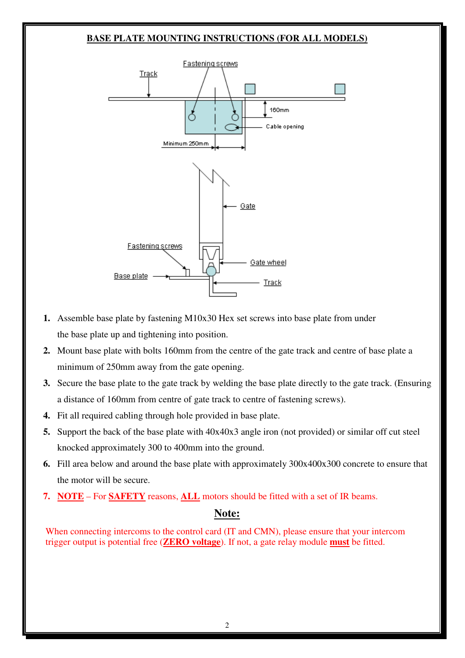#### **BASE PLATE MOUNTING INSTRUCTIONS (FOR ALL MODELS)**



- **1.** Assemble base plate by fastening M10x30 Hex set screws into base plate from under the base plate up and tightening into position.
- **2.** Mount base plate with bolts 160mm from the centre of the gate track and centre of base plate a minimum of 250mm away from the gate opening.
- **3.** Secure the base plate to the gate track by welding the base plate directly to the gate track. (Ensuring a distance of 160mm from centre of gate track to centre of fastening screws).
- **4.** Fit all required cabling through hole provided in base plate.
- **5.** Support the back of the base plate with 40x40x3 angle iron (not provided) or similar off cut steel knocked approximately 300 to 400mm into the ground.
- **6.** Fill area below and around the base plate with approximately 300x400x300 concrete to ensure that the motor will be secure.
- **7. NOTE** For **SAFETY** reasons, **ALL** motors should be fitted with a set of IR beams.

### **Note:**

When connecting intercoms to the control card (IT and CMN), please ensure that your intercom trigger output is potential free (**ZERO voltage**). If not, a gate relay module **must** be fitted.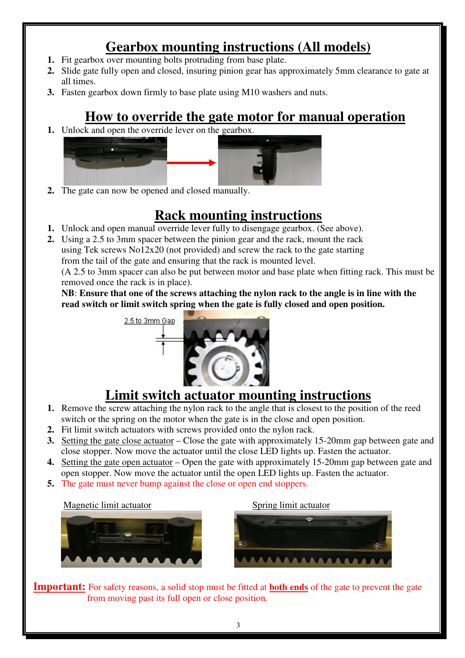# **Gearbox mounting instructions (All models)**

- **1.** Fit gearbox over mounting bolts protruding from base plate.
- **2.** Slide gate fully open and closed, insuring pinion gear has approximately 5mm clearance to gate at all times.
- **3.** Fasten gearbox down firmly to base plate using M10 washers and nuts.

# **How to override the gate motor for manual operation**

**1.** Unlock and open the override lever on the gearbox.



**2.** The gate can now be opened and closed manually.

# **Rack mounting instructions**

- **1.** Unlock and open manual override lever fully to disengage gearbox. (See above).
- **2.** Using a 2.5 to 3mm spacer between the pinion gear and the rack, mount the rack using Tek screws  $\text{No12x20}$  (not provided) and screw the rack to the gate starting from the tail of the gate and ensuring that the rack is mounted level. (A 2.5 to 3mm spacer can also be put between motor and base plate when fitting rack. This must be removed once the rack is in place).

**NB**: **Ensure that one of the screws attaching the nylon rack to the angle is in line with the read switch or limit switch spring when the gate is fully closed and open position.** 



# **Limit switch actuator mounting instructions**

- **1.** Remove the screw attaching the nylon rack to the angle that is closest to the position of the reed switch or the spring on the motor when the gate is in the close and open position.
- **2.** Fit limit switch actuators with screws provided onto the nylon rack.
- **3.** Setting the gate close actuator Close the gate with approximately 15-20mm gap between gate and close stopper. Now move the actuator until the close LED lights up. Fasten the actuator.
- **4.** Setting the gate open actuator Open the gate with approximately 15-20mm gap between gate and open stopper. Now move the actuator until the open LED lights up. Fasten the actuator.
- **5.** The gate must never bump against the close or open end stoppers.

### Magnetic limit actuator Spring limit actuator



**Important:** For safety reasons, a solid stop must be fitted at **both ends** of the gate to prevent the gate from moving past its full open or close position.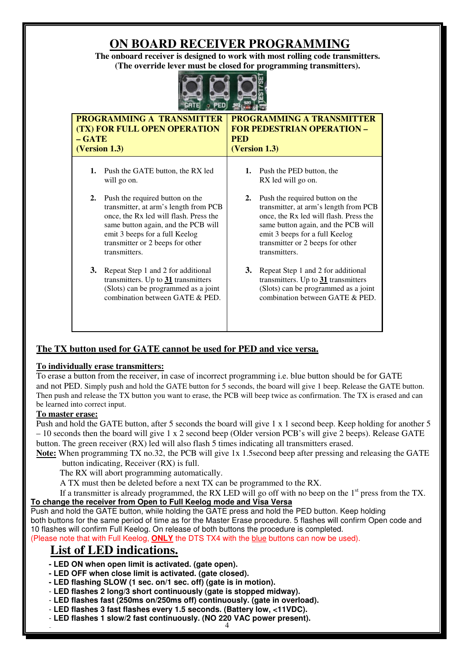# **ON BOARD RECEIVER PROGRAMMING**

**The onboard receiver is designed to work with most rolling code transmitters. (The override lever must be closed for programming transmitters).** 



| $-$ GATE | <b>PROGRAMMING A TRANSMITTER</b><br><b>(TX) FOR FULL OPEN OPERATION</b><br>(Version 1.3)                                                                                                                                                         | <b>PED</b> | <b>PROGRAMMING A TRANSMITTER</b><br><b>FOR PEDESTRIAN OPERATION -</b><br>(Version 1.3)                                                                                                                                                           |
|----------|--------------------------------------------------------------------------------------------------------------------------------------------------------------------------------------------------------------------------------------------------|------------|--------------------------------------------------------------------------------------------------------------------------------------------------------------------------------------------------------------------------------------------------|
|          | 1. Push the GATE button, the RX led<br>will go on.                                                                                                                                                                                               | 1.         | Push the PED button, the<br>RX led will go on.                                                                                                                                                                                                   |
| 2.       | Push the required button on the<br>transmitter, at arm's length from PCB<br>once, the Rx led will flash. Press the<br>same button again, and the PCB will<br>emit 3 beeps for a full Keelog<br>transmitter or 2 beeps for other<br>transmitters. | 2.         | Push the required button on the<br>transmitter, at arm's length from PCB<br>once, the Rx led will flash. Press the<br>same button again, and the PCB will<br>emit 3 beeps for a full Keelog<br>transmitter or 2 beeps for other<br>transmitters. |
| 3.       | Repeat Step 1 and 2 for additional<br>transmitters. Up to $31$ transmitters<br>(Slots) can be programmed as a joint<br>combination between GATE & PED.                                                                                           | 3.         | Repeat Step 1 and 2 for additional<br>transmitters. Up to $31$ transmitters<br>(Slots) can be programmed as a joint<br>combination between GATE & PED.                                                                                           |

### **The TX button used for GATE cannot be used for PED and vice versa.**

#### **To individually erase transmitters:**

To erase a button from the receiver, in case of incorrect programming i.e. blue button should be for GATE and not PED. Simply push and hold the GATE button for 5 seconds, the board will give 1 beep. Release the GATE button. Then push and release the TX button you want to erase, the PCB will beep twice as confirmation. The TX is erased and can be learned into correct input.

#### **To master erase:**

Push and hold the GATE button, after 5 seconds the board will give 1 x 1 second beep. Keep holding for another 5 – 10 seconds then the board will give 1 x 2 second beep (Older version PCB's will give 2 beeps). Release GATE button. The green receiver (RX) led will also flash 5 times indicating all transmitters erased.

**Note:** When programming TX no.32, the PCB will give 1x 1.5second beep after pressing and releasing the GATE button indicating, Receiver (RX) is full.

The RX will abort programming automatically.

A TX must then be deleted before a next TX can be programmed to the RX.

If a transmitter is already programmed, the RX LED will go off with no beep on the 1<sup>st</sup> press from the TX. **To change the receiver from Open to Full Keelog mode and Visa Versa**

Push and hold the GATE button, while holding the GATE press and hold the PED button. Keep holding

 both buttons for the same period of time as for the Master Erase procedure. 5 flashes will confirm Open code and 10 flashes will confirm Full Keelog. On release of both buttons the procedure is completed.

(Please note that with Full Keelog, **ONLY** the DTS TX4 with the blue buttons can now be used).

# **List of LED indications.**

- **- LED ON when open limit is activated. (gate open).**
- **LED OFF when close limit is activated. (gate closed).**
- **LED flashing SLOW (1 sec. on/1 sec. off) (gate is in motion).**
- - **LED flashes 2 long/3 short continuously (gate is stopped midway).**
- - **LED flashes fast (250ms on/250ms off) continuously. (gate in overload).**
- - **LED flashes 3 fast flashes every 1.5 seconds. (Battery low, <11VDC).**
- 4 - **LED flashes 1 slow/2 fast continuously. (NO 220 VAC power present).**  -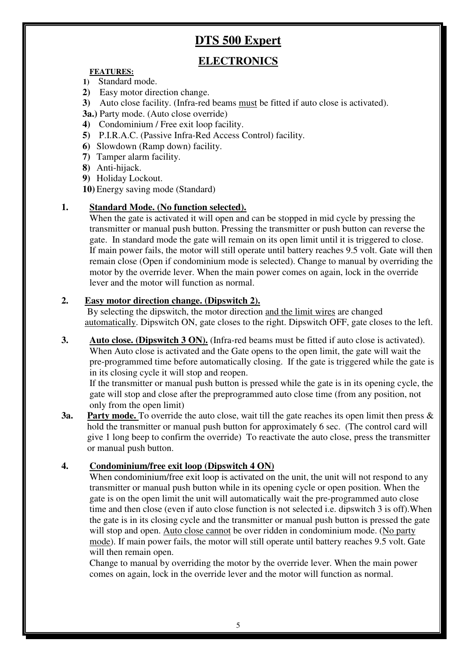# **DTS 500 Expert**

# **ELECTRONICS**

#### **FEATURES:**

- **1)** Standard mode.
- **2)** Easy motor direction change.
- **3)** Auto close facility. (Infra-red beams must be fitted if auto close is activated).
- **3a.)** Party mode. (Auto close override)
- **4)** Condominium / Free exit loop facility.
- **5)** P.I.R.A.C. (Passive Infra-Red Access Control) facility.
- **6)** Slowdown (Ramp down) facility.
- **7)** Tamper alarm facility.
- **8)** Anti-hijack.
- **9)** Holiday Lockout.
- **10)** Energy saving mode (Standard)

#### **1. Standard Mode. (No function selected).**

When the gate is activated it will open and can be stopped in mid cycle by pressing the transmitter or manual push button. Pressing the transmitter or push button can reverse the gate. In standard mode the gate will remain on its open limit until it is triggered to close. If main power fails, the motor will still operate until battery reaches 9.5 volt. Gate will then remain close (Open if condominium mode is selected). Change to manual by overriding the motor by the override lever. When the main power comes on again, lock in the override lever and the motor will function as normal.

#### **2. Easy motor direction change. (Dipswitch 2).**

 By selecting the dipswitch, the motor direction and the limit wires are changed automatically. Dipswitch ON, gate closes to the right. Dipswitch OFF, gate closes to the left.

**3.** Auto close. (Dipswitch 3 ON). (Infra-red beams must be fitted if auto close is activated). When Auto close is activated and the Gate opens to the open limit, the gate will wait the pre-programmed time before automatically closing. If the gate is triggered while the gate is in its closing cycle it will stop and reopen.

If the transmitter or manual push button is pressed while the gate is in its opening cycle, the gate will stop and close after the preprogrammed auto close time (from any position, not only from the open limit)

**3a.** Party mode. To override the auto close, wait till the gate reaches its open limit then press & hold the transmitter or manual push button for approximately 6 sec. (The control card will give 1 long beep to confirm the override) To reactivate the auto close, press the transmitter or manual push button.

### **4. Condominium/free exit loop (Dipswitch 4 ON)**

When condominium/free exit loop is activated on the unit, the unit will not respond to any transmitter or manual push button while in its opening cycle or open position. When the gate is on the open limit the unit will automatically wait the pre-programmed auto close time and then close (even if auto close function is not selected i.e. dipswitch 3 is off).When the gate is in its closing cycle and the transmitter or manual push button is pressed the gate will stop and open. Auto close cannot be over ridden in condominium mode. (No party mode). If main power fails, the motor will still operate until battery reaches 9.5 volt. Gate will then remain open.

Change to manual by overriding the motor by the override lever. When the main power comes on again, lock in the override lever and the motor will function as normal.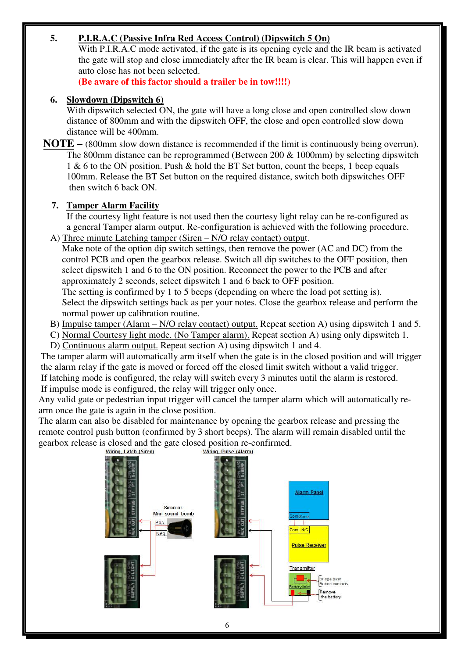### **5. P.I.R.A.C (Passive Infra Red Access Control) (Dipswitch 5 On)**

With P.I.R.A.C mode activated, if the gate is its opening cycle and the IR beam is activated the gate will stop and close immediately after the IR beam is clear. This will happen even if auto close has not been selected.

**(Be aware of this factor should a trailer be in tow!!!!)** 

### **6. Slowdown (Dipswitch 6)**

With dipswitch selected ON, the gate will have a long close and open controlled slow down distance of 800mm and with the dipswitch OFF, the close and open controlled slow down distance will be 400mm.

 **NOTE –** (800mm slow down distance is recommended if the limit is continuously being overrun). The 800mm distance can be reprogrammed (Between 200  $\&$  1000mm) by selecting dipswitch 1 & 6 to the ON position. Push & hold the BT Set button, count the beeps, 1 beep equals 100mm. Release the BT Set button on the required distance, switch both dipswitches OFF then switch 6 back ON.

### **7. Tamper Alarm Facility**

 If the courtesy light feature is not used then the courtesy light relay can be re-configured as a general Tamper alarm output. Re-configuration is achieved with the following procedure. A) Three minute Latching tamper (Siren – N/O relay contact) output.

 Make note of the option dip switch settings, then remove the power (AC and DC) from the control PCB and open the gearbox release. Switch all dip switches to the OFF position, then select dipswitch 1 and 6 to the ON position. Reconnect the power to the PCB and after approximately 2 seconds, select dipswitch 1 and 6 back to OFF position. The setting is confirmed by 1 to 5 beeps (depending on where the load pot setting is).

 Select the dipswitch settings back as per your notes. Close the gearbox release and perform the normal power up calibration routine.

 B) Impulse tamper (Alarm – N/O relay contact) output. Repeat section A) using dipswitch 1 and 5. C) Normal Courtesy light mode. (No Tamper alarm). Repeat section A) using only dipswitch 1. D) Continuous alarm output. Repeat section A) using dipswitch 1 and 4.

 The tamper alarm will automatically arm itself when the gate is in the closed position and will trigger the alarm relay if the gate is moved or forced off the closed limit switch without a valid trigger. If latching mode is configured, the relay will switch every 3 minutes until the alarm is restored. If impulse mode is configured, the relay will trigger only once.

 Any valid gate or pedestrian input trigger will cancel the tamper alarm which will automatically re arm once the gate is again in the close position.

 The alarm can also be disabled for maintenance by opening the gearbox release and pressing the remote control push button (confirmed by 3 short beeps). The alarm will remain disabled until the gearbox release is closed and the gate closed position re-confirmed.<br>Wiring, Latch (Siren) Wiring, Pulse (Alarm)

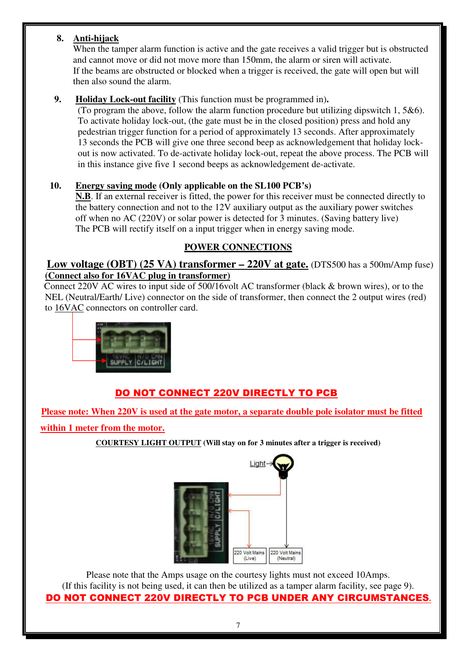# **8. Anti-hijack**

 When the tamper alarm function is active and the gate receives a valid trigger but is obstructed and cannot move or did not move more than 150mm, the alarm or siren will activate. If the beams are obstructed or blocked when a trigger is received, the gate will open but will then also sound the alarm.

## **9. Holiday Lock-out facility** (This function must be programmed in)**.**

 (To program the above, follow the alarm function procedure but utilizing dipswitch 1, 5&6). To activate holiday lock-out, (the gate must be in the closed position) press and hold any pedestrian trigger function for a period of approximately 13 seconds. After approximately 13 seconds the PCB will give one three second beep as acknowledgement that holiday lock out is now activated. To de-activate holiday lock-out, repeat the above process. The PCB will in this instance give five 1 second beeps as acknowledgement de-activate.

### **10. Energy saving mode (Only applicable on the SL100 PCB's)**

 **N.B**. If an external receiver is fitted, the power for this receiver must be connected directly to the battery connection and not to the 12V auxiliary output as the auxiliary power switches off when no AC (220V) or solar power is detected for 3 minutes. (Saving battery live) The PCB will rectify itself on a input trigger when in energy saving mode.

# **POWER CONNECTIONS**

## **Low voltage (OBT) (25 VA) transformer – 220V at gate.** (DTS500 has a 500m/Amp fuse) **(Connect also for 16VAC plug in transformer)**

 Connect 220V AC wires to input side of 500/16volt AC transformer (black & brown wires), or to the NEL (Neutral/Earth/ Live) connector on the side of transformer, then connect the 2 output wires (red) to 16VAC connectors on controller card.



# DO NOT CONNECT 220V DIRECTLY TO PCB

 **Please note: When 220V is used at the gate motor, a separate double pole isolator must be fitted** 

 **within 1 meter from the motor.** 

**COURTESY LIGHT OUTPUT (Will stay on for 3 minutes after a trigger is received)** 



Please note that the Amps usage on the courtesy lights must not exceed 10Amps. (If this facility is not being used, it can then be utilized as a tamper alarm facility, see page 9). DO NOT CONNECT 220V DIRECTLY TO PCB UNDER ANY CIRCUMSTANCES**.**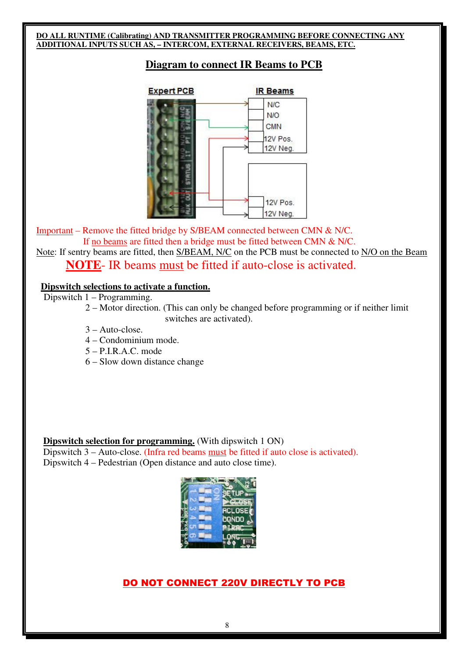#### **DO ALL RUNTIME (Calibrating) AND TRANSMITTER PROGRAMMING BEFORE CONNECTING ANY ADDITIONAL INPUTS SUCH AS, – INTERCOM, EXTERNAL RECEIVERS, BEAMS, ETC.**

### **Diagram to connect IR Beams to PCB**



Important – Remove the fitted bridge by S/BEAM connected between CMN & N/C. If no beams are fitted then a bridge must be fitted between CMN & N/C.

Note: If sentry beams are fitted, then S/BEAM, N/C on the PCB must be connected to N/O on the Beam **NOTE**- IR beams must be fitted if auto-close is activated.

#### **Dipswitch selections to activate a function.**

Dipswitch 1 – Programming.

- 2 Motor direction. (This can only be changed before programming or if neither limit switches are activated).
- 3 Auto-close.
- 4 Condominium mode.
- 5 P.I.R.A.C. mode
- 6 Slow down distance change

**Dipswitch selection for programming.** (With dipswitch 1 ON) Dipswitch 3 – Auto-close. (Infra red beams must be fitted if auto close is activated). Dipswitch 4 – Pedestrian (Open distance and auto close time).



### DO NOT CONNECT 220V DIRECTLY TO PCB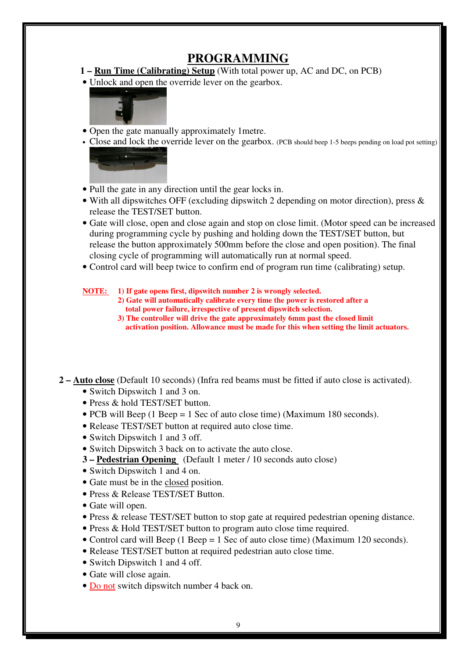# **PROGRAMMING**

- **1 Run Time (Calibrating) Setup** (With total power up, AC and DC, on PCB)
- Unlock and open the override lever on the gearbox.



- Open the gate manually approximately 1metre.
- Close and lock the override lever on the gearbox. (PCB should beep 1-5 beeps pending on load pot setting)



- Pull the gate in any direction until the gear locks in.
- With all dipswitches OFF (excluding dipswitch 2 depending on motor direction), press & release the TEST/SET button.
- Gate will close, open and close again and stop on close limit. (Motor speed can be increased during programming cycle by pushing and holding down the TEST/SET button, but release the button approximately 500mm before the close and open position). The final closing cycle of programming will automatically run at normal speed.
- Control card will beep twice to confirm end of program run time (calibrating) setup.

**NOTE: 1) If gate opens first, dipswitch number 2 is wrongly selected.** 

- **2) Gate will automatically calibrate every time the power is restored after a total power failure, irrespective of present dipswitch selection.**
- **3) The controller will drive the gate approximately 6mm past the closed limit activation position. Allowance must be made for this when setting the limit actuators.**

 **2 – Auto close** (Default 10 seconds) (Infra red beams must be fitted if auto close is activated).

- Switch Dipswitch 1 and 3 on.
- Press & hold TEST/SET button.
- PCB will Beep (1 Beep = 1 Sec of auto close time) (Maximum 180 seconds).
- Release TEST/SET button at required auto close time.
- Switch Dipswitch 1 and 3 off.
- Switch Dipswitch 3 back on to activate the auto close.
- **3 Pedestrian Opening** (Default 1 meter / 10 seconds auto close)
- Switch Dipswitch 1 and 4 on.
- Gate must be in the closed position.
- Press & Release TEST/SET Button.
- Gate will open.
- Press & release TEST/SET button to stop gate at required pedestrian opening distance.
- Press & Hold TEST/SET button to program auto close time required.
- Control card will Beep (1 Beep = 1 Sec of auto close time) (Maximum 120 seconds).
- Release TEST/SET button at required pedestrian auto close time.
- Switch Dipswitch 1 and 4 off.
- Gate will close again.
- Do not switch dipswitch number 4 back on.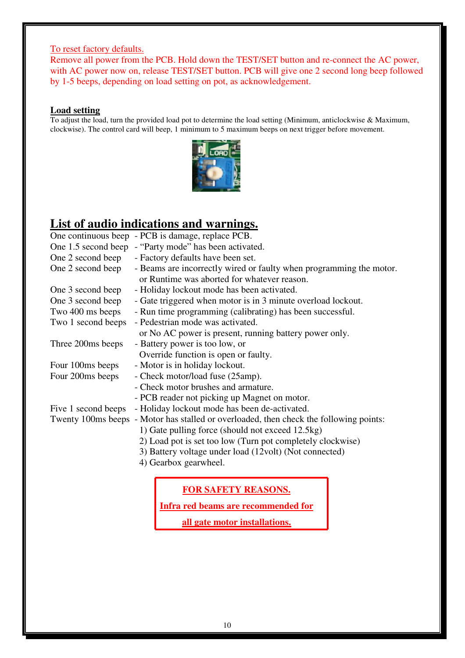#### To reset factory defaults.

Remove all power from the PCB. Hold down the TEST/SET button and re-connect the AC power, with AC power now on, release TEST/SET button. PCB will give one 2 second long beep followed by 1-5 beeps, depending on load setting on pot, as acknowledgement.

#### **Load setting**

To adjust the load, turn the provided load pot to determine the load setting (Minimum, anticlockwise & Maximum, clockwise). The control card will beep, 1 minimum to 5 maximum beeps on next trigger before movement.



# **List of audio indications and warnings.**

|                     | One continuous beep - PCB is damage, replace PCB.                                                                                          |
|---------------------|--------------------------------------------------------------------------------------------------------------------------------------------|
|                     | One 1.5 second beep - "Party mode" has been activated.                                                                                     |
| One 2 second beep   | - Factory defaults have been set.                                                                                                          |
| One 2 second beep   | - Beams are incorrectly wired or faulty when programming the motor.<br>or Runtime was aborted for whatever reason.                         |
| One 3 second beep   | - Holiday lockout mode has been activated.                                                                                                 |
| One 3 second beep   | - Gate triggered when motor is in 3 minute overload lockout.                                                                               |
| Two 400 ms beeps    | - Run time programming (calibrating) has been successful.                                                                                  |
| Two 1 second beeps  | - Pedestrian mode was activated.                                                                                                           |
|                     | or No AC power is present, running battery power only.                                                                                     |
| Three 200ms beeps   | - Battery power is too low, or                                                                                                             |
|                     | Override function is open or faulty.                                                                                                       |
| Four 100ms beeps    | - Motor is in holiday lockout.                                                                                                             |
| Four 200ms beeps    | - Check motor/load fuse (25amp).                                                                                                           |
|                     | - Check motor brushes and armature.                                                                                                        |
|                     | - PCB reader not picking up Magnet on motor.                                                                                               |
| Five 1 second beeps | - Holiday lockout mode has been de-activated.                                                                                              |
|                     | Twenty 100ms beeps - Motor has stalled or overloaded, then check the following points:<br>1) Gate pulling force (should not exceed 12.5kg) |
|                     | 2) Load pot is set too low (Turn pot completely clockwise)                                                                                 |
|                     | 3) Battery voltage under load (12volt) (Not connected)                                                                                     |
|                     | 4) Gearbox gearwheel.                                                                                                                      |
|                     |                                                                                                                                            |

# **FOR SAFETY REASONS.**

**Infra red beams are recommended for** 

**all gate motor installations.**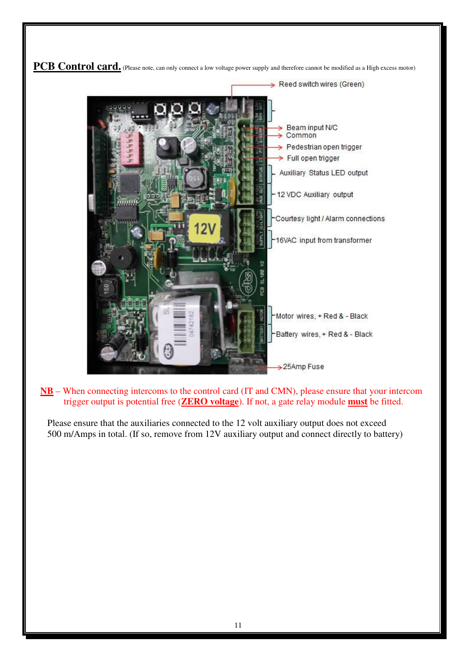

 **NB** – When connecting intercoms to the control card (IT and CMN), please ensure that your intercom trigger output is potential free (**ZERO voltage**). If not, a gate relay module **must** be fitted.

Please ensure that the auxiliaries connected to the 12 volt auxiliary output does not exceed 500 m/Amps in total. (If so, remove from 12V auxiliary output and connect directly to battery)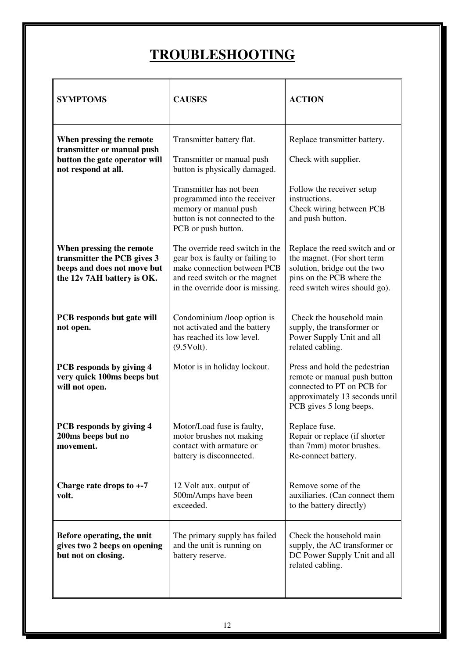# **TROUBLESHOOTING**

| <b>SYMPTOMS</b>                                                                                                      | <b>CAUSES</b>                                                                                                                                                           | <b>ACTION</b>                                                                                                                                               |
|----------------------------------------------------------------------------------------------------------------------|-------------------------------------------------------------------------------------------------------------------------------------------------------------------------|-------------------------------------------------------------------------------------------------------------------------------------------------------------|
| When pressing the remote<br>transmitter or manual push<br>button the gate operator will<br>not respond at all.       | Transmitter battery flat.<br>Transmitter or manual push<br>button is physically damaged.                                                                                | Replace transmitter battery.<br>Check with supplier.                                                                                                        |
|                                                                                                                      | Transmitter has not been<br>programmed into the receiver<br>memory or manual push<br>button is not connected to the<br>PCB or push button.                              | Follow the receiver setup<br>instructions.<br>Check wiring between PCB<br>and push button.                                                                  |
| When pressing the remote<br>transmitter the PCB gives 3<br>beeps and does not move but<br>the 12v 7AH battery is OK. | The override reed switch in the<br>gear box is faulty or failing to<br>make connection between PCB<br>and reed switch or the magnet<br>in the override door is missing. | Replace the reed switch and or<br>the magnet. (For short term<br>solution, bridge out the two<br>pins on the PCB where the<br>reed switch wires should go). |
| PCB responds but gate will<br>not open.                                                                              | Condominium /loop option is<br>not activated and the battery<br>has reached its low level.<br>(9.5Volt).                                                                | Check the household main<br>supply, the transformer or<br>Power Supply Unit and all<br>related cabling.                                                     |
| PCB responds by giving 4<br>very quick 100ms beeps but<br>will not open.                                             | Motor is in holiday lockout.                                                                                                                                            | Press and hold the pedestrian<br>remote or manual push button<br>connected to PT on PCB for<br>approximately 13 seconds until<br>PCB gives 5 long beeps.    |
| PCB responds by giving 4<br>200ms beeps but no<br>movement.                                                          | Motor/Load fuse is faulty,<br>motor brushes not making<br>contact with armature or<br>battery is disconnected.                                                          | Replace fuse.<br>Repair or replace (if shorter<br>than 7mm) motor brushes.<br>Re-connect battery.                                                           |
| Charge rate drops to $+ -7$<br>volt.                                                                                 | 12 Volt aux. output of<br>500m/Amps have been<br>exceeded.                                                                                                              | Remove some of the<br>auxiliaries. (Can connect them<br>to the battery directly)                                                                            |
| Before operating, the unit<br>gives two 2 beeps on opening<br>but not on closing.                                    | The primary supply has failed<br>and the unit is running on<br>battery reserve.                                                                                         | Check the household main<br>supply, the AC transformer or<br>DC Power Supply Unit and all<br>related cabling.                                               |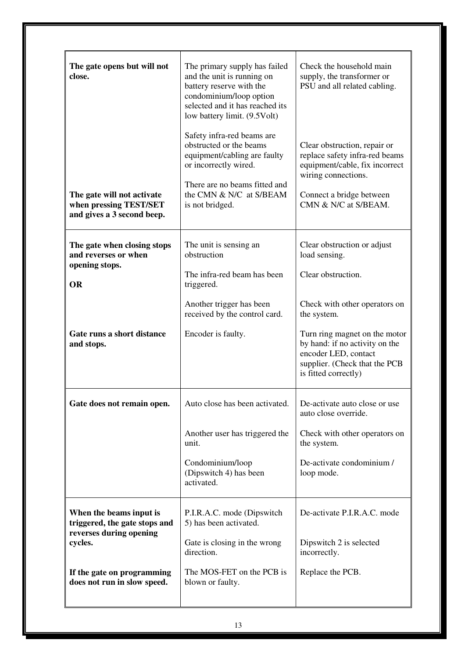| The gate opens but will not<br>close.                                               | The primary supply has failed<br>and the unit is running on<br>battery reserve with the<br>condominium/loop option<br>selected and it has reached its<br>low battery limit. (9.5Volt)<br>Safety infra-red beams are<br>obstructed or the beams<br>equipment/cabling are faulty<br>or incorrectly wired.<br>There are no beams fitted and | Check the household main<br>supply, the transformer or<br>PSU and all related cabling.<br>Clear obstruction, repair or<br>replace safety infra-red beams<br>equipment/cable, fix incorrect<br>wiring connections. |
|-------------------------------------------------------------------------------------|------------------------------------------------------------------------------------------------------------------------------------------------------------------------------------------------------------------------------------------------------------------------------------------------------------------------------------------|-------------------------------------------------------------------------------------------------------------------------------------------------------------------------------------------------------------------|
| The gate will not activate<br>when pressing TEST/SET<br>and gives a 3 second beep.  | the CMN & N/C at S/BEAM<br>is not bridged.                                                                                                                                                                                                                                                                                               | Connect a bridge between<br>CMN & N/C at S/BEAM.                                                                                                                                                                  |
| The gate when closing stops<br>and reverses or when<br>opening stops.               | The unit is sensing an<br>obstruction                                                                                                                                                                                                                                                                                                    | Clear obstruction or adjust<br>load sensing.                                                                                                                                                                      |
| <b>OR</b>                                                                           | The infra-red beam has been<br>triggered.                                                                                                                                                                                                                                                                                                | Clear obstruction.                                                                                                                                                                                                |
|                                                                                     | Another trigger has been<br>received by the control card.                                                                                                                                                                                                                                                                                | Check with other operators on<br>the system.                                                                                                                                                                      |
| Gate runs a short distance<br>and stops.                                            | Encoder is faulty.                                                                                                                                                                                                                                                                                                                       | Turn ring magnet on the motor<br>by hand: if no activity on the<br>encoder LED, contact<br>supplier. (Check that the PCB<br>is fitted correctly)                                                                  |
| Gate does not remain open.                                                          | Auto close has been activated.                                                                                                                                                                                                                                                                                                           | De-activate auto close or use<br>auto close override.                                                                                                                                                             |
|                                                                                     | Another user has triggered the<br>unit.                                                                                                                                                                                                                                                                                                  | Check with other operators on<br>the system.                                                                                                                                                                      |
|                                                                                     | Condominium/loop<br>(Dipswitch 4) has been<br>activated.                                                                                                                                                                                                                                                                                 | De-activate condominium /<br>loop mode.                                                                                                                                                                           |
| When the beams input is<br>triggered, the gate stops and<br>reverses during opening | P.I.R.A.C. mode (Dipswitch<br>5) has been activated.                                                                                                                                                                                                                                                                                     | De-activate P.I.R.A.C. mode                                                                                                                                                                                       |
| cycles.                                                                             | Gate is closing in the wrong<br>direction.                                                                                                                                                                                                                                                                                               | Dipswitch 2 is selected<br>incorrectly.                                                                                                                                                                           |
| If the gate on programming<br>does not run in slow speed.                           | The MOS-FET on the PCB is<br>blown or faulty.                                                                                                                                                                                                                                                                                            | Replace the PCB.                                                                                                                                                                                                  |
|                                                                                     |                                                                                                                                                                                                                                                                                                                                          |                                                                                                                                                                                                                   |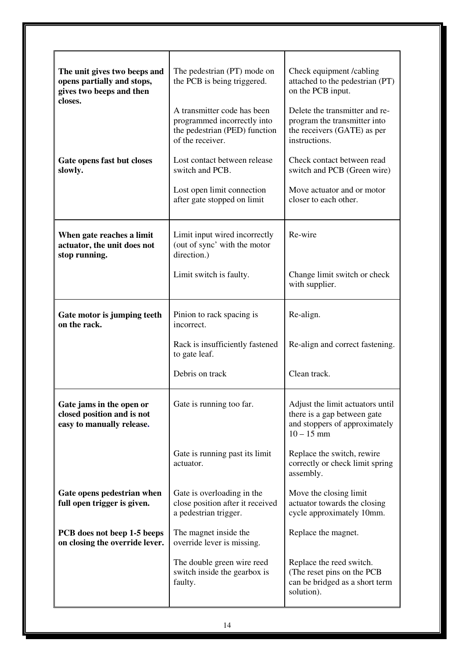| The unit gives two beeps and<br>opens partially and stops,<br>gives two beeps and then<br>closes. | The pedestrian (PT) mode on<br>the PCB is being triggered.<br>A transmitter code has been<br>programmed incorrectly into | Check equipment /cabling<br>attached to the pedestrian (PT)<br>on the PCB input.<br>Delete the transmitter and re-<br>program the transmitter into |
|---------------------------------------------------------------------------------------------------|--------------------------------------------------------------------------------------------------------------------------|----------------------------------------------------------------------------------------------------------------------------------------------------|
|                                                                                                   | the pedestrian (PED) function<br>of the receiver.                                                                        | the receivers (GATE) as per<br>instructions.                                                                                                       |
| Gate opens fast but closes<br>slowly.                                                             | Lost contact between release<br>switch and PCB.                                                                          | Check contact between read<br>switch and PCB (Green wire)                                                                                          |
|                                                                                                   | Lost open limit connection<br>after gate stopped on limit                                                                | Move actuator and or motor<br>closer to each other.                                                                                                |
| When gate reaches a limit<br>actuator, the unit does not<br>stop running.                         | Limit input wired incorrectly<br>(out of sync' with the motor<br>direction.)                                             | Re-wire                                                                                                                                            |
|                                                                                                   | Limit switch is faulty.                                                                                                  | Change limit switch or check<br>with supplier.                                                                                                     |
| Gate motor is jumping teeth<br>on the rack.                                                       | Pinion to rack spacing is<br>incorrect.                                                                                  | Re-align.                                                                                                                                          |
|                                                                                                   | Rack is insufficiently fastened<br>to gate leaf.                                                                         | Re-align and correct fastening.                                                                                                                    |
|                                                                                                   | Debris on track                                                                                                          | Clean track.                                                                                                                                       |
| Gate jams in the open or<br>closed position and is not<br>easy to manually release.               | Gate is running too far.                                                                                                 | Adjust the limit actuators until<br>there is a gap between gate<br>and stoppers of approximately<br>$10 - 15$ mm                                   |
|                                                                                                   | Gate is running past its limit<br>actuator.                                                                              | Replace the switch, rewire<br>correctly or check limit spring<br>assembly.                                                                         |
| Gate opens pedestrian when<br>full open trigger is given.                                         | Gate is overloading in the<br>close position after it received<br>a pedestrian trigger.                                  | Move the closing limit<br>actuator towards the closing<br>cycle approximately 10mm.                                                                |
| PCB does not beep 1-5 beeps<br>on closing the override lever.                                     | The magnet inside the<br>override lever is missing.                                                                      | Replace the magnet.                                                                                                                                |
|                                                                                                   | The double green wire reed<br>switch inside the gearbox is<br>faulty.                                                    | Replace the reed switch.<br>(The reset pins on the PCB<br>can be bridged as a short term<br>solution).                                             |